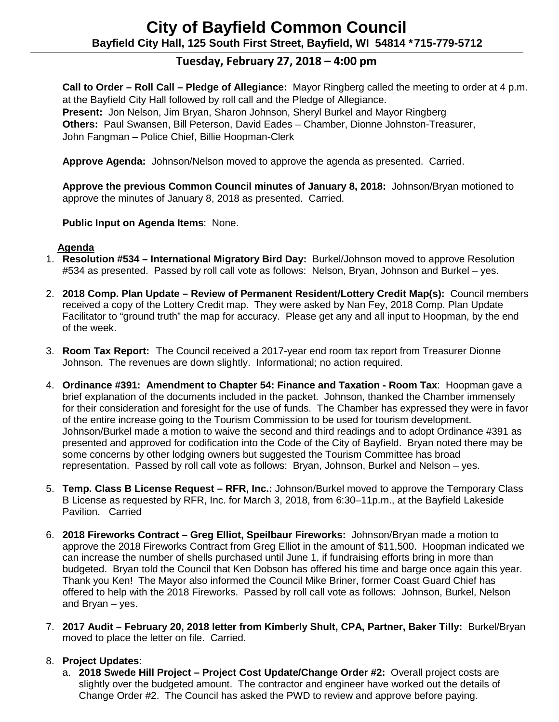# **Tuesday, February 27, 2018 – 4:00 pm**

**Call to Order – Roll Call – Pledge of Allegiance:** Mayor Ringberg called the meeting to order at 4 p.m. at the Bayfield City Hall followed by roll call and the Pledge of Allegiance. **Present:** Jon Nelson, Jim Bryan, Sharon Johnson, Sheryl Burkel and Mayor Ringberg **Others:** Paul Swansen, Bill Peterson, David Eades – Chamber, Dionne Johnston-Treasurer, John Fangman – Police Chief, Billie Hoopman-Clerk

**Approve Agenda:** Johnson/Nelson moved to approve the agenda as presented. Carried.

**Approve the previous Common Council minutes of January 8, 2018:** Johnson/Bryan motioned to approve the minutes of January 8, 2018 as presented. Carried.

#### **Public Input on Agenda Items**: None.

## **Agenda**

- 1. **Resolution #534 – International Migratory Bird Day:** Burkel/Johnson moved to approve Resolution #534 as presented. Passed by roll call vote as follows: Nelson, Bryan, Johnson and Burkel – yes.
- 2. **2018 Comp. Plan Update – Review of Permanent Resident/Lottery Credit Map(s):** Council members received a copy of the Lottery Credit map. They were asked by Nan Fey, 2018 Comp. Plan Update Facilitator to "ground truth" the map for accuracy. Please get any and all input to Hoopman, by the end of the week.
- 3. **Room Tax Report:** The Council received a 2017-year end room tax report from Treasurer Dionne Johnson. The revenues are down slightly. Informational; no action required.
- 4. **Ordinance #391: Amendment to Chapter 54: Finance and Taxation - Room Tax**: Hoopman gave a brief explanation of the documents included in the packet. Johnson, thanked the Chamber immensely for their consideration and foresight for the use of funds. The Chamber has expressed they were in favor of the entire increase going to the Tourism Commission to be used for tourism development. Johnson/Burkel made a motion to waive the second and third readings and to adopt Ordinance #391 as presented and approved for codification into the Code of the City of Bayfield. Bryan noted there may be some concerns by other lodging owners but suggested the Tourism Committee has broad representation. Passed by roll call vote as follows: Bryan, Johnson, Burkel and Nelson – yes.
- 5. **Temp. Class B License Request – RFR, Inc.:** Johnson/Burkel moved to approve the Temporary Class B License as requested by RFR, Inc. for March 3, 2018, from 6:30–11p.m., at the Bayfield Lakeside Pavilion. Carried
- 6. **2018 Fireworks Contract – Greg Elliot, Speilbaur Fireworks:** Johnson/Bryan made a motion to approve the 2018 Fireworks Contract from Greg Elliot in the amount of \$11,500. Hoopman indicated we can increase the number of shells purchased until June 1, if fundraising efforts bring in more than budgeted. Bryan told the Council that Ken Dobson has offered his time and barge once again this year. Thank you Ken! The Mayor also informed the Council Mike Briner, former Coast Guard Chief has offered to help with the 2018 Fireworks. Passed by roll call vote as follows: Johnson, Burkel, Nelson and Bryan – yes.
- 7. **2017 Audit – February 20, 2018 letter from Kimberly Shult, CPA, Partner, Baker Tilly:** Burkel/Bryan moved to place the letter on file. Carried.

# 8. **Project Updates**:

a. **2018 Swede Hill Project – Project Cost Update/Change Order #2:** Overall project costs are slightly over the budgeted amount. The contractor and engineer have worked out the details of Change Order #2. The Council has asked the PWD to review and approve before paying.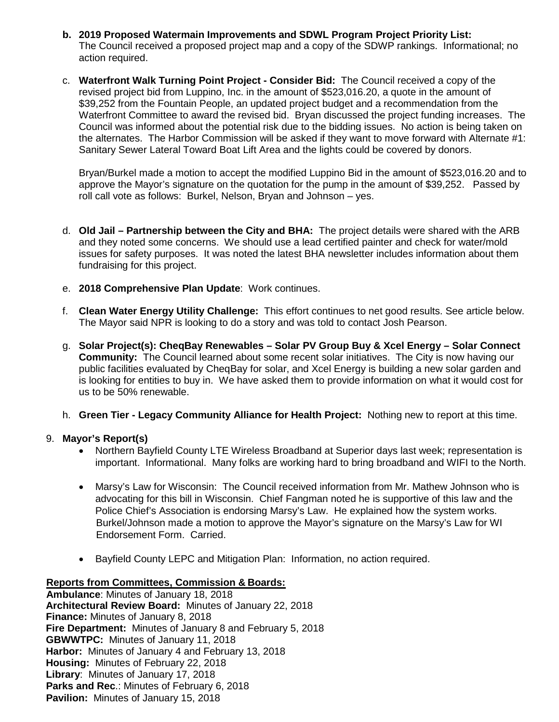- **b. 2019 Proposed Watermain Improvements and SDWL Program Project Priority List:** The Council received a proposed project map and a copy of the SDWP rankings. Informational; no action required.
- c. **Waterfront Walk Turning Point Project - Consider Bid:** The Council received a copy of the revised project bid from Luppino, Inc. in the amount of \$523,016.20, a quote in the amount of \$39,252 from the Fountain People, an updated project budget and a recommendation from the Waterfront Committee to award the revised bid. Bryan discussed the project funding increases. The Council was informed about the potential risk due to the bidding issues. No action is being taken on the alternates. The Harbor Commission will be asked if they want to move forward with Alternate #1: Sanitary Sewer Lateral Toward Boat Lift Area and the lights could be covered by donors.

Bryan/Burkel made a motion to accept the modified Luppino Bid in the amount of \$523,016.20 and to approve the Mayor's signature on the quotation for the pump in the amount of \$39,252. Passed by roll call vote as follows: Burkel, Nelson, Bryan and Johnson – yes.

- d. **Old Jail – Partnership between the City and BHA:** The project details were shared with the ARB and they noted some concerns. We should use a lead certified painter and check for water/mold issues for safety purposes. It was noted the latest BHA newsletter includes information about them fundraising for this project.
- e. **2018 Comprehensive Plan Update**: Work continues.
- f. **Clean Water Energy Utility Challenge:** This effort continues to net good results. See article below. The Mayor said NPR is looking to do a story and was told to contact Josh Pearson.
- g. **Solar Project(s): CheqBay Renewables – Solar PV Group Buy & Xcel Energy – Solar Connect Community:** The Council learned about some recent solar initiatives. The City is now having our public facilities evaluated by CheqBay for solar, and Xcel Energy is building a new solar garden and is looking for entities to buy in. We have asked them to provide information on what it would cost for us to be 50% renewable.
- h. **Green Tier - Legacy Community Alliance for Health Project:** Nothing new to report at this time.

#### 9. **Mayor's Report(s)**

- Northern Bayfield County LTE Wireless Broadband at Superior days last week; representation is important. Informational. Many folks are working hard to bring broadband and WIFI to the North.
- Marsy's Law for Wisconsin: The Council received information from Mr. Mathew Johnson who is advocating for this bill in Wisconsin. Chief Fangman noted he is supportive of this law and the Police Chief's Association is endorsing Marsy's Law. He explained how the system works. Burkel/Johnson made a motion to approve the Mayor's signature on the Marsy's Law for WI Endorsement Form. Carried.
- Bayfield County LEPC and Mitigation Plan: Information, no action required.

# **Reports from Committees, Commission & Boards:**

**Ambulance**: Minutes of January 18, 2018 **Architectural Review Board:** Minutes of January 22, 2018 **Finance:** Minutes of January 8, 2018 **Fire Department:** Minutes of January 8 and February 5, 2018 **GBWWTPC:** Minutes of January 11, 2018 **Harbor:** Minutes of January 4 and February 13, 2018 **Housing:** Minutes of February 22, 2018 **Library**: Minutes of January 17, 2018 **Parks and Rec**.: Minutes of February 6, 2018 **Pavilion:** Minutes of January 15, 2018